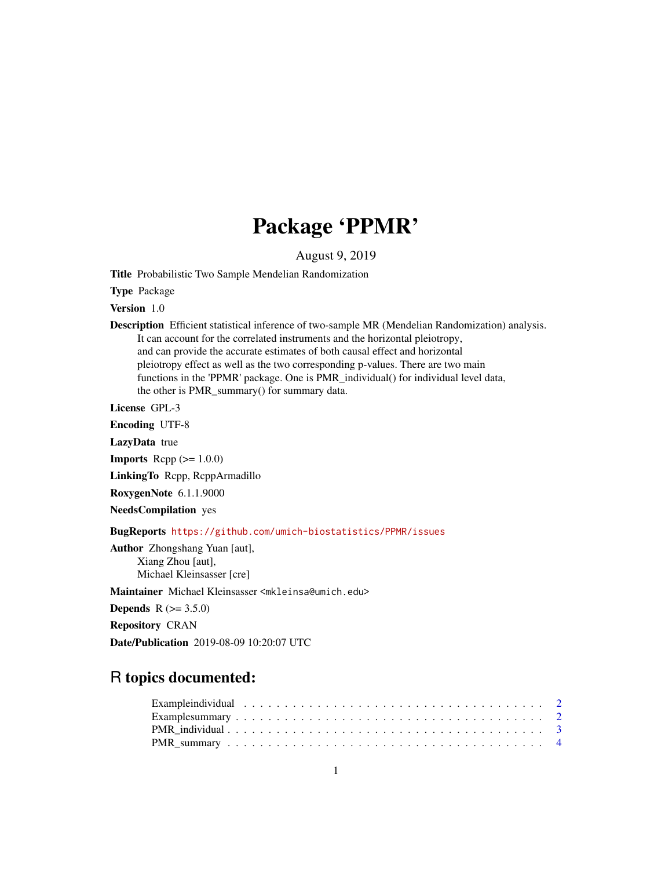## Package 'PPMR'

August 9, 2019

Title Probabilistic Two Sample Mendelian Randomization

Type Package

Version 1.0

Description Efficient statistical inference of two-sample MR (Mendelian Randomization) analysis. It can account for the correlated instruments and the horizontal pleiotropy, and can provide the accurate estimates of both causal effect and horizontal pleiotropy effect as well as the two corresponding p-values. There are two main functions in the 'PPMR' package. One is PMR\_individual() for individual level data, the other is PMR\_summary() for summary data.

License GPL-3

Encoding UTF-8

LazyData true

**Imports** Rcpp  $(>= 1.0.0)$ 

LinkingTo Rcpp, RcppArmadillo

RoxygenNote 6.1.1.9000

NeedsCompilation yes

BugReports <https://github.com/umich-biostatistics/PPMR/issues>

Author Zhongshang Yuan [aut], Xiang Zhou [aut], Michael Kleinsasser [cre]

Maintainer Michael Kleinsasser <mkleinsa@umich.edu>

**Depends** R  $(>= 3.5.0)$ 

Repository CRAN

Date/Publication 2019-08-09 10:20:07 UTC

### R topics documented:

| Example individual $\ldots \ldots \ldots \ldots \ldots \ldots \ldots \ldots \ldots \ldots \ldots \ldots \ldots$ |  |  |  |  |  |  |  |  |  |  |  |  |  |  |  |  |  |  |  |
|-----------------------------------------------------------------------------------------------------------------|--|--|--|--|--|--|--|--|--|--|--|--|--|--|--|--|--|--|--|
|                                                                                                                 |  |  |  |  |  |  |  |  |  |  |  |  |  |  |  |  |  |  |  |
|                                                                                                                 |  |  |  |  |  |  |  |  |  |  |  |  |  |  |  |  |  |  |  |
|                                                                                                                 |  |  |  |  |  |  |  |  |  |  |  |  |  |  |  |  |  |  |  |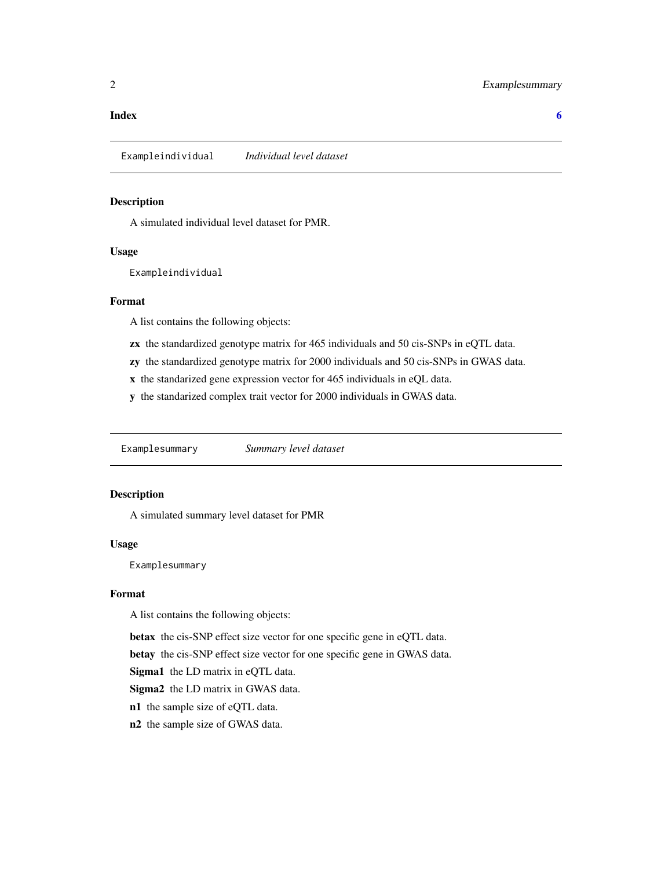#### <span id="page-1-0"></span>**Index** [6](#page-5-0) **6**

Exampleindividual *Individual level dataset*

#### Description

A simulated individual level dataset for PMR.

#### Usage

Exampleindividual

#### Format

A list contains the following objects:

zx the standardized genotype matrix for 465 individuals and 50 cis-SNPs in eQTL data.

zy the standardized genotype matrix for 2000 individuals and 50 cis-SNPs in GWAS data.

x the standarized gene expression vector for 465 individuals in eQL data.

y the standarized complex trait vector for 2000 individuals in GWAS data.

Examplesummary *Summary level dataset*

#### Description

A simulated summary level dataset for PMR

#### Usage

Examplesummary

#### Format

A list contains the following objects:

betax the cis-SNP effect size vector for one specific gene in eQTL data.

betay the cis-SNP effect size vector for one specific gene in GWAS data.

Sigma1 the LD matrix in eQTL data.

Sigma2 the LD matrix in GWAS data.

n1 the sample size of eQTL data.

n2 the sample size of GWAS data.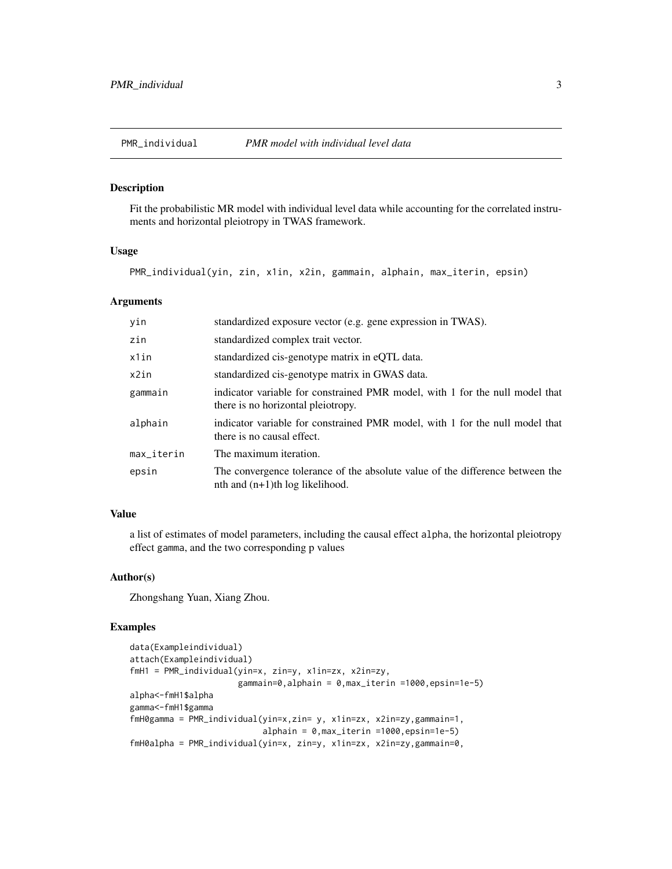<span id="page-2-0"></span>

#### Description

Fit the probabilistic MR model with individual level data while accounting for the correlated instruments and horizontal pleiotropy in TWAS framework.

#### Usage

PMR\_individual(yin, zin, x1in, x2in, gammain, alphain, max\_iterin, epsin)

#### Arguments

| yin        | standardized exposure vector (e.g. gene expression in TWAS).                                                        |
|------------|---------------------------------------------------------------------------------------------------------------------|
| zin        | standardized complex trait vector.                                                                                  |
| x1in       | standardized cis-genotype matrix in eQTL data.                                                                      |
| x2in       | standardized cis-genotype matrix in GWAS data.                                                                      |
| gammain    | indicator variable for constrained PMR model, with 1 for the null model that<br>there is no horizontal pleiotropy.  |
| alphain    | indicator variable for constrained PMR model, with 1 for the null model that<br>there is no causal effect.          |
| max_iterin | The maximum iteration.                                                                                              |
| epsin      | The convergence tolerance of the absolute value of the difference between the<br>nth and $(n+1)$ th log likelihood. |

#### Value

a list of estimates of model parameters, including the causal effect alpha, the horizontal pleiotropy effect gamma, and the two corresponding p values

#### Author(s)

Zhongshang Yuan, Xiang Zhou.

#### Examples

```
data(Exampleindividual)
attach(Exampleindividual)
fmH1 = PMR_individual(yin=x, zin=y, x1in=zx, x2in=zy,
                      gammain=0,alphain = 0,max_iterin =1000,epsin=1e-5)
alpha<-fmH1$alpha
gamma<-fmH1$gamma
fmH0gamma = PMR_individual(yin=x,zin= y, x1in=zx, x2in=zy,gammain=1,
                           alphain = 0,max_iterin =1000,epsin=1e-5)
fmH0alpha = PMR_individual(yin=x, zin=y, x1in=zx, x2in=zy,gammain=0,
```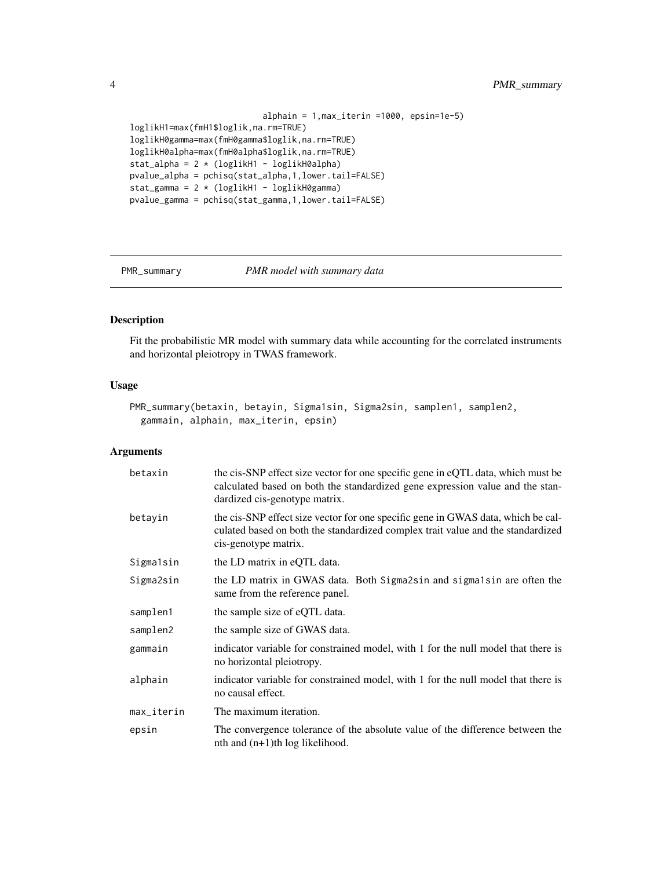```
alphain = 1,max_iterin =1000, epsin=1e-5)
loglikH1=max(fmH1$loglik,na.rm=TRUE)
loglikH0gamma=max(fmH0gamma$loglik,na.rm=TRUE)
loglikH0alpha=max(fmH0alpha$loglik,na.rm=TRUE)
stat_alpha = 2 * (loglikH1 - loglikH0alpha)
pvalue_alpha = pchisq(stat_alpha,1,lower.tail=FALSE)
stat_gamma = 2 * (loglikH1 - loglikH0gamma)pvalue_gamma = pchisq(stat_gamma,1,lower.tail=FALSE)
```
PMR\_summary *PMR model with summary data*

#### Description

Fit the probabilistic MR model with summary data while accounting for the correlated instruments and horizontal pleiotropy in TWAS framework.

#### Usage

```
PMR_summary(betaxin, betayin, Sigma1sin, Sigma2sin, samplen1, samplen2,
  gammain, alphain, max_iterin, epsin)
```
#### Arguments

| betaxin    | the cis-SNP effect size vector for one specific gene in eQTL data, which must be<br>calculated based on both the standardized gene expression value and the stan-<br>dardized cis-genotype matrix. |
|------------|----------------------------------------------------------------------------------------------------------------------------------------------------------------------------------------------------|
| betayin    | the cis-SNP effect size vector for one specific gene in GWAS data, which be cal-<br>culated based on both the standardized complex trait value and the standardized<br>cis-genotype matrix.        |
| Sigma1sin  | the LD matrix in eQTL data.                                                                                                                                                                        |
| Sigma2sin  | the LD matrix in GWAS data. Both Sigma2sin and sigma1sin are often the<br>same from the reference panel.                                                                                           |
| samplen1   | the sample size of eQTL data.                                                                                                                                                                      |
| samplen2   | the sample size of GWAS data.                                                                                                                                                                      |
| gammain    | indicator variable for constrained model, with 1 for the null model that there is<br>no horizontal pleiotropy.                                                                                     |
| alphain    | indicator variable for constrained model, with 1 for the null model that there is<br>no causal effect.                                                                                             |
| max_iterin | The maximum iteration.                                                                                                                                                                             |
| epsin      | The convergence tolerance of the absolute value of the difference between the<br>$nth$ and $(n+1)th$ log likelihood.                                                                               |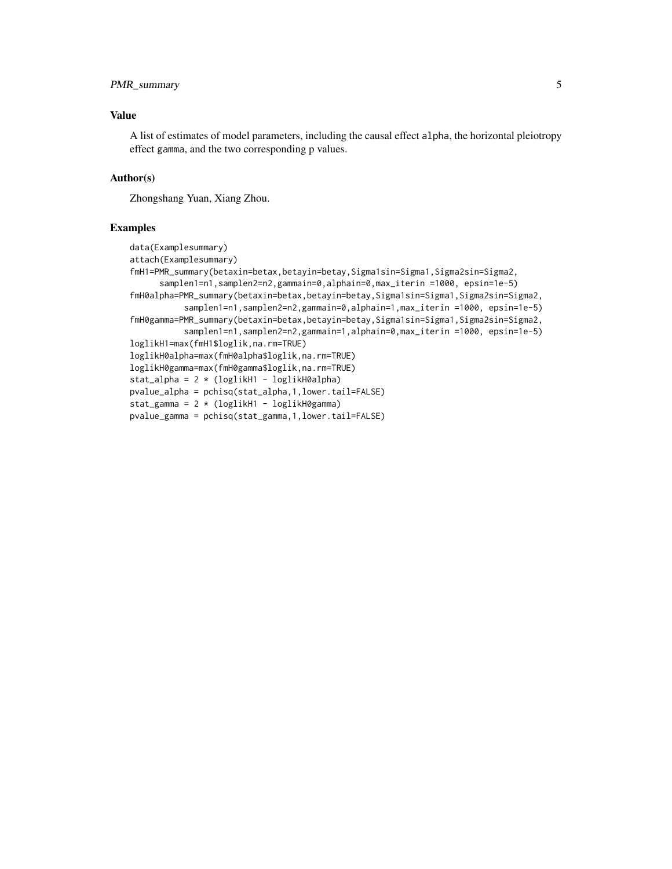#### PMR\_summary 5

#### Value

A list of estimates of model parameters, including the causal effect alpha, the horizontal pleiotropy effect gamma, and the two corresponding p values.

#### Author(s)

Zhongshang Yuan, Xiang Zhou.

#### Examples

```
data(Examplesummary)
attach(Examplesummary)
fmH1=PMR_summary(betaxin=betax,betayin=betay,Sigma1sin=Sigma1,Sigma2sin=Sigma2,
      samplen1=n1,samplen2=n2,gammain=0,alphain=0,max_iterin =1000, epsin=1e-5)
fmH0alpha=PMR_summary(betaxin=betax,betayin=betay,Sigma1sin=Sigma1,Sigma2sin=Sigma2,
          samplen1=n1,samplen2=n2,gammain=0,alphain=1,max_iterin =1000, epsin=1e-5)
fmH0gamma=PMR_summary(betaxin=betax,betayin=betay,Sigma1sin=Sigma1,Sigma2sin=Sigma2,
          samplen1=n1,samplen2=n2,gammain=1,alphain=0,max_iterin =1000, epsin=1e-5)
loglikH1=max(fmH1$loglik,na.rm=TRUE)
loglikH0alpha=max(fmH0alpha$loglik,na.rm=TRUE)
loglikH0gamma=max(fmH0gamma$loglik,na.rm=TRUE)
stat_alpha = 2 * (loglikH1 - loglikH0a1pha)pvalue_alpha = pchisq(stat_alpha,1,lower.tail=FALSE)
stat_gamma = 2 * (loglikH1 - loglikH0gamma)
pvalue_gamma = pchisq(stat_gamma,1,lower.tail=FALSE)
```